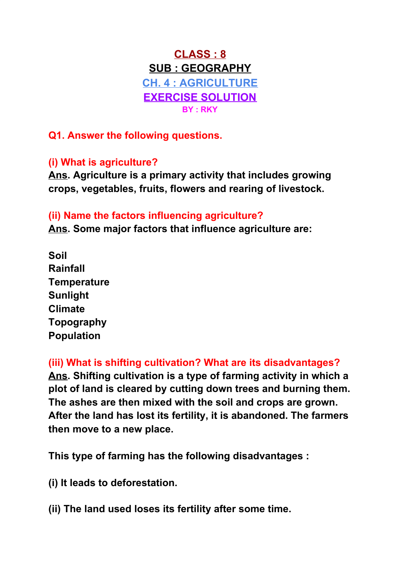# **CLASS : 8 SUB : GEOGRAPHY CH. 4 : AGRICULTURE EXERCISE SOLUTION BY : RKY**

**Q1. Answer the following questions.**

## **(i) What is agriculture?**

**Ans. Agriculture is a primary activity that includes growing crops, vegetables, fruits, flowers and rearing of livestock.**

### **(ii) Name the factors influencing agriculture?**

**Ans. Some major factors that influence agriculture are:**

**Soil Rainfall Temperature Sunlight Climate Topography Population**

**(iii) What is shifting cultivation? What are its disadvantages? Ans. Shifting cultivation is a type of farming activity in which a plot of land is cleared by cutting down trees and burning them. The ashes are then mixed with the soil and crops are grown. After the land has lost its fertility, it is abandoned. The farmers then move to a new place.**

**This type of farming has the following disadvantages :**

**(i) It leads to deforestation.**

**(ii) The land used loses its fertility after some time.**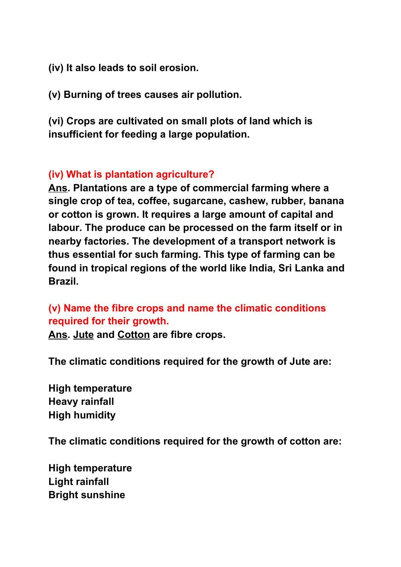**(iv) It also leads to soil erosion.**

**(v) Burning of trees causes air pollution.**

**(vi) Crops are cultivated on small plots of land which is insufficient for feeding a large population.**

#### **(iv) What is plantation agriculture?**

**Ans. Plantations are a type of commercial farming where a single crop of tea, coffee, sugarcane, cashew, rubber, banana or cotton is grown. It requires a large amount of capital and labour. The produce can be processed on the farm itself or in nearby factories. The development of a transport network is thus essential for such farming. This type of farming can be found in tropical regions of the world like India, Sri Lanka and Brazil.**

### **(v) Name the fibre crops and name the climatic conditions required for their growth.**

**Ans. Jute and Cotton are fibre crops.**

**The climatic conditions required for the growth of Jute are:**

**High temperature Heavy rainfall High humidity**

**The climatic conditions required for the growth of cotton are:**

**High temperature Light rainfall Bright sunshine**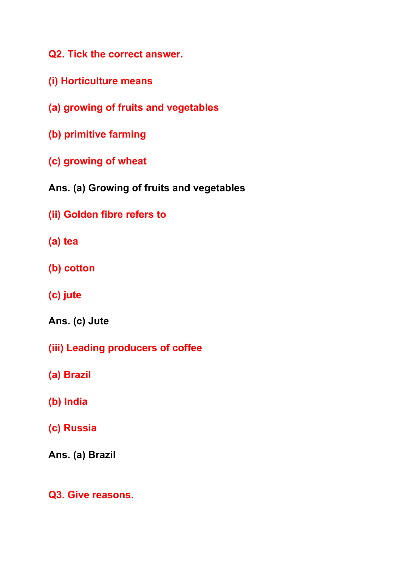**Q2. Tick the correct answer.**

- **(i) Horticulture means**
- **(a) growing of fruits and vegetables**
- **(b) primitive farming**
- **(c) growing of wheat**
- **Ans. (a) Growing of fruits and vegetables**
- **(ii) Golden fibre refers to**
- **(a) tea**
- **(b) cotton**
- **(c) jute**
- **Ans. (c) Jute**
- **(iii) Leading producers of coffee**
- **(a) Brazil**
- **(b) India**
- **(c) Russia**

**Ans. (a) Brazil**

**Q3. Give reasons.**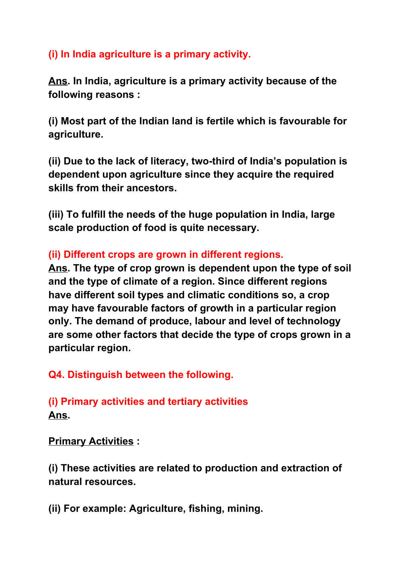## **(i) In India agriculture is a primary activity.**

**Ans. In India, agriculture is a primary activity because of the following reasons :**

**(i) Most part of the Indian land is fertile which is favourable for agriculture.**

**(ii) Due to the lack of literacy, two-third of India's population is dependent upon agriculture since they acquire the required skills from their ancestors.**

**(iii) To fulfill the needs of the huge population in India, large scale production of food is quite necessary.**

### **(ii) Different crops are grown in different regions.**

**Ans. The type of crop grown is dependent upon the type of soil and the type of climate of a region. Since different regions have different soil types and climatic conditions so, a crop may have favourable factors of growth in a particular region only. The demand of produce, labour and level of technology are some other factors that decide the type of crops grown in a particular region.**

### **Q4. Distinguish between the following.**

## **(i) Primary activities and tertiary activities Ans.**

**Primary Activities :**

**(i) These activities are related to production and extraction of natural resources.**

**(ii) For example: Agriculture, fishing, mining.**